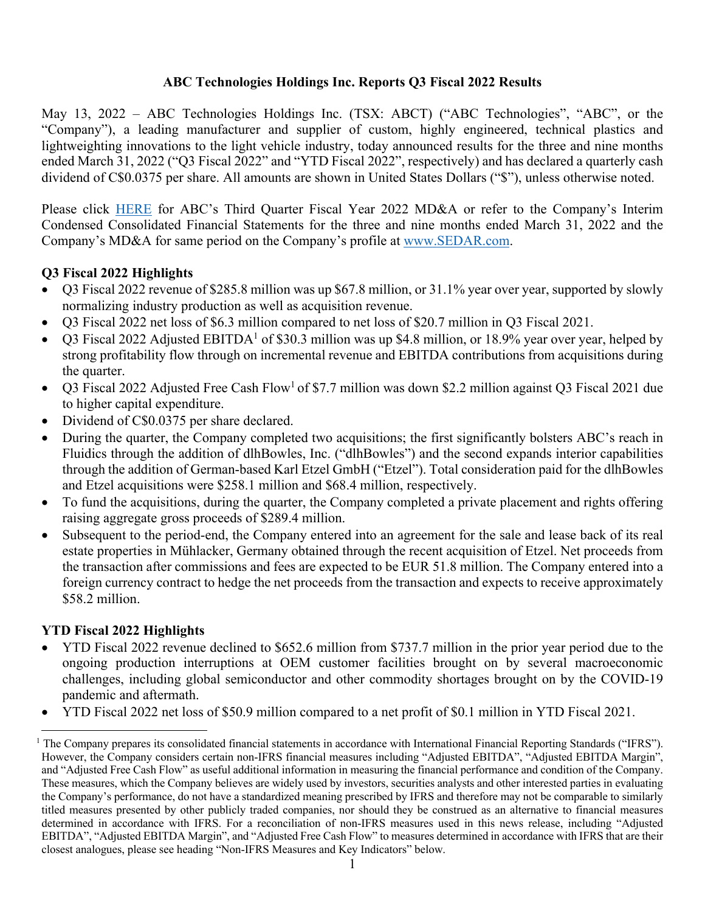## **ABC Technologies Holdings Inc. Reports Q3 Fiscal 2022 Results**

May 13, 2022 – ABC Technologies Holdings Inc. (TSX: ABCT) ("ABC Technologies", "ABC", or the "Company"), a leading manufacturer and supplier of custom, highly engineered, technical plastics and lightweighting innovations to the light vehicle industry, today announced results for the three and nine months ended March 31, 2022 ("Q3 Fiscal 2022" and "YTD Fiscal 2022", respectively) and has declared a quarterly cash dividend of C\$0.0375 per share. All amounts are shown in United States Dollars ("\$"), unless otherwise noted.

Please click [HERE](https://abctechnologies.com/wp-content/uploads/ABC-HOLDCO-MDA-March-2022-VF.pdf) for ABC's Third Quarter Fiscal Year 2022 MD&A or refer to the Company's Interim Condensed Consolidated Financial Statements for the three and nine months ended March 31, 2022 and the Company's MD&A for same period on the Company's profile at [www.SEDAR.com.](https://www.sedar.com)

# **Q3 Fiscal 2022 Highlights**

- Q3 Fiscal 2022 revenue of \$285.8 million was up \$67.8 million, or 31.1% year over year, supported by slowly normalizing industry production as well as acquisition revenue.
- Q3 Fiscal 2022 net loss of \$6.3 million compared to net loss of \$20.7 million in Q3 Fiscal 2021.
- Q3 Fiscal 2022 Adjusted EBITDA<sup>1</sup> of \$30.3 million was up \$4.8 million, or 18.9% year over year, helped by strong profitability flow through on incremental revenue and EBITDA contributions from acquisitions during the quarter.
- Q3 Fiscal 2022 Adjusted Free Cash Flow<sup>1</sup> of \$7.7 million was down \$2.2 million against Q3 Fiscal 2021 due to higher capital expenditure.
- Dividend of C\$0.0375 per share declared.
- During the quarter, the Company completed two acquisitions; the first significantly bolsters ABC's reach in Fluidics through the addition of dlhBowles, Inc. ("dlhBowles") and the second expands interior capabilities through the addition of German-based Karl Etzel GmbH ("Etzel"). Total consideration paid for the dlhBowles and Etzel acquisitions were \$258.1 million and \$68.4 million, respectively.
- To fund the acquisitions, during the quarter, the Company completed a private placement and rights offering raising aggregate gross proceeds of \$289.4 million.
- Subsequent to the period-end, the Company entered into an agreement for the sale and lease back of its real estate properties in Mühlacker, Germany obtained through the recent acquisition of Etzel. Net proceeds from the transaction after commissions and fees are expected to be EUR 51.8 million. The Company entered into a foreign currency contract to hedge the net proceeds from the transaction and expects to receive approximately \$58.2 million.

# **YTD Fiscal 2022 Highlights**

- YTD Fiscal 2022 revenue declined to \$652.6 million from \$737.7 million in the prior year period due to the ongoing production interruptions at OEM customer facilities brought on by several macroeconomic challenges, including global semiconductor and other commodity shortages brought on by the COVID-19 pandemic and aftermath.
- YTD Fiscal 2022 net loss of \$50.9 million compared to a net profit of \$0.1 million in YTD Fiscal 2021.

<sup>&</sup>lt;sup>1</sup> The Company prepares its consolidated financial statements in accordance with International Financial Reporting Standards ("IFRS"). However, the Company considers certain non-IFRS financial measures including "Adjusted EBITDA", "Adjusted EBITDA Margin", and "Adjusted Free Cash Flow" as useful additional information in measuring the financial performance and condition of the Company. These measures, which the Company believes are widely used by investors, securities analysts and other interested parties in evaluating the Company's performance, do not have a standardized meaning prescribed by IFRS and therefore may not be comparable to similarly titled measures presented by other publicly traded companies, nor should they be construed as an alternative to financial measures determined in accordance with IFRS. For a reconciliation of non-IFRS measures used in this news release, including "Adjusted EBITDA", "Adjusted EBITDA Margin", and "Adjusted Free Cash Flow" to measures determined in accordance with IFRS that are their closest analogues, please see heading "Non-IFRS Measures and Key Indicators" below.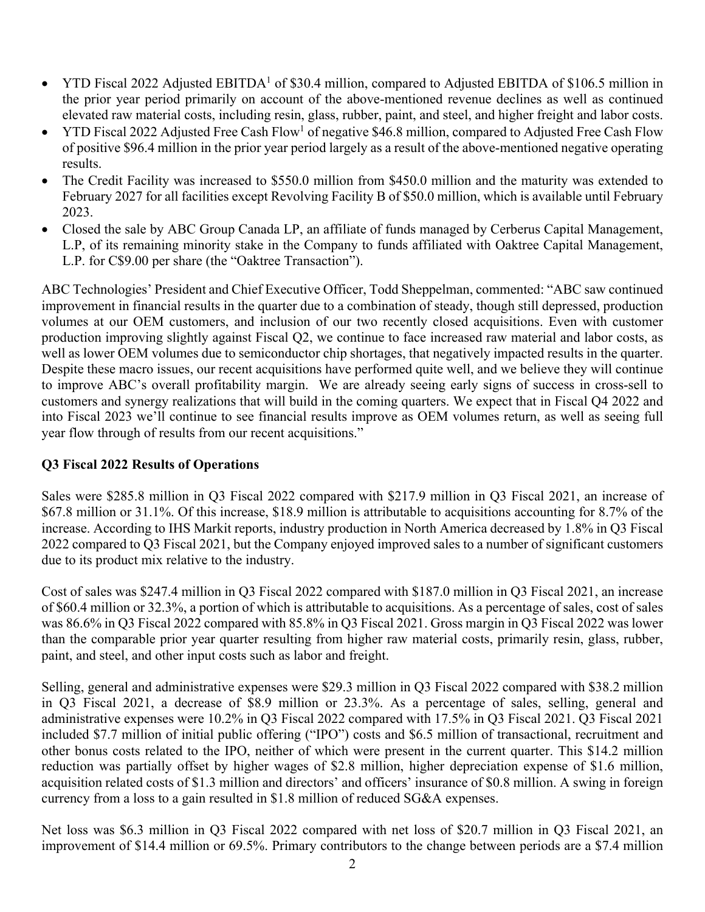- YTD Fiscal 2022 Adjusted EBITDA<sup>1</sup> of \$30.4 million, compared to Adjusted EBITDA of \$106.5 million in the prior year period primarily on account of the above-mentioned revenue declines as well as continued elevated raw material costs, including resin, glass, rubber, paint, and steel, and higher freight and labor costs.
- YTD Fiscal 2022 Adjusted Free Cash Flow<sup>1</sup> of negative  $$46.8$  million, compared to Adjusted Free Cash Flow of positive \$96.4 million in the prior year period largely as a result of the above-mentioned negative operating results.
- The Credit Facility was increased to \$550.0 million from \$450.0 million and the maturity was extended to February 2027 for all facilities except Revolving Facility B of \$50.0 million, which is available until February 2023.
- Closed the sale by ABC Group Canada LP, an affiliate of funds managed by Cerberus Capital Management, L.P, of its remaining minority stake in the Company to funds affiliated with Oaktree Capital Management, L.P. for C\$9.00 per share (the "Oaktree Transaction").

ABC Technologies' President and Chief Executive Officer, Todd Sheppelman, commented: "ABC saw continued improvement in financial results in the quarter due to a combination of steady, though still depressed, production volumes at our OEM customers, and inclusion of our two recently closed acquisitions. Even with customer production improving slightly against Fiscal Q2, we continue to face increased raw material and labor costs, as well as lower OEM volumes due to semiconductor chip shortages, that negatively impacted results in the quarter. Despite these macro issues, our recent acquisitions have performed quite well, and we believe they will continue to improve ABC's overall profitability margin. We are already seeing early signs of success in cross-sell to customers and synergy realizations that will build in the coming quarters. We expect that in Fiscal Q4 2022 and into Fiscal 2023 we'll continue to see financial results improve as OEM volumes return, as well as seeing full year flow through of results from our recent acquisitions."

## **Q3 Fiscal 2022 Results of Operations**

Sales were \$285.8 million in Q3 Fiscal 2022 compared with \$217.9 million in Q3 Fiscal 2021, an increase of \$67.8 million or 31.1%. Of this increase, \$18.9 million is attributable to acquisitions accounting for 8.7% of the increase. According to IHS Markit reports, industry production in North America decreased by 1.8% in Q3 Fiscal 2022 compared to Q3 Fiscal 2021, but the Company enjoyed improved sales to a number of significant customers due to its product mix relative to the industry.

Cost of sales was \$247.4 million in Q3 Fiscal 2022 compared with \$187.0 million in Q3 Fiscal 2021, an increase of \$60.4 million or 32.3%, a portion of which is attributable to acquisitions. As a percentage of sales, cost of sales was 86.6% in Q3 Fiscal 2022 compared with 85.8% in Q3 Fiscal 2021. Gross margin in Q3 Fiscal 2022 was lower than the comparable prior year quarter resulting from higher raw material costs, primarily resin, glass, rubber, paint, and steel, and other input costs such as labor and freight.

Selling, general and administrative expenses were \$29.3 million in Q3 Fiscal 2022 compared with \$38.2 million in Q3 Fiscal 2021, a decrease of \$8.9 million or 23.3%. As a percentage of sales, selling, general and administrative expenses were 10.2% in Q3 Fiscal 2022 compared with 17.5% in Q3 Fiscal 2021. Q3 Fiscal 2021 included \$7.7 million of initial public offering ("IPO") costs and \$6.5 million of transactional, recruitment and other bonus costs related to the IPO, neither of which were present in the current quarter. This \$14.2 million reduction was partially offset by higher wages of \$2.8 million, higher depreciation expense of \$1.6 million, acquisition related costs of \$1.3 million and directors' and officers' insurance of \$0.8 million. A swing in foreign currency from a loss to a gain resulted in \$1.8 million of reduced SG&A expenses.

Net loss was \$6.3 million in Q3 Fiscal 2022 compared with net loss of \$20.7 million in Q3 Fiscal 2021, an improvement of \$14.4 million or 69.5%. Primary contributors to the change between periods are a \$7.4 million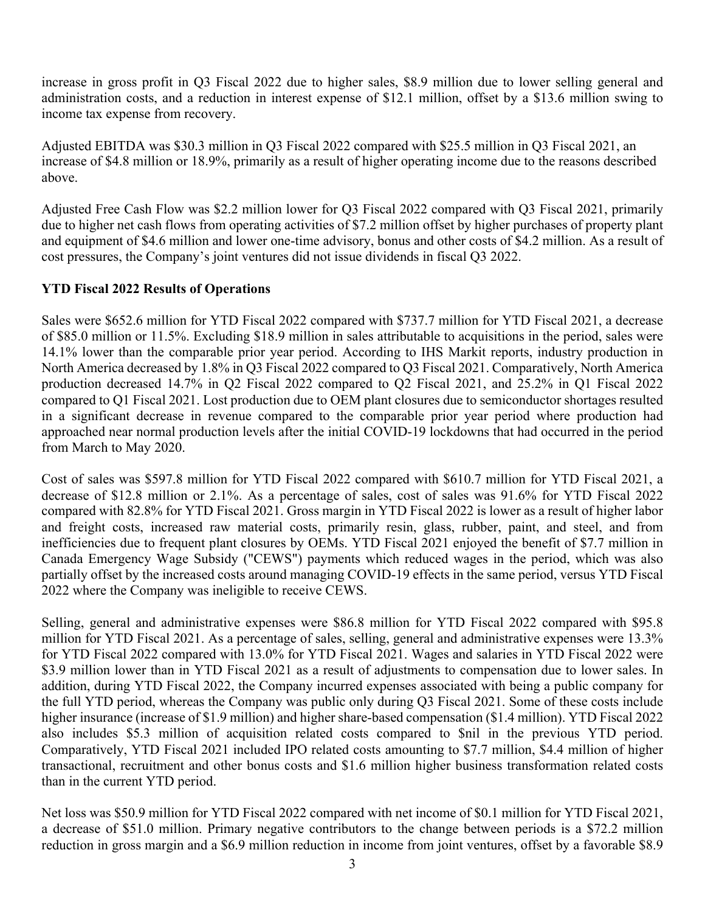increase in gross profit in Q3 Fiscal 2022 due to higher sales, \$8.9 million due to lower selling general and administration costs, and a reduction in interest expense of \$12.1 million, offset by a \$13.6 million swing to income tax expense from recovery.

Adjusted EBITDA was \$30.3 million in Q3 Fiscal 2022 compared with \$25.5 million in Q3 Fiscal 2021, an increase of \$4.8 million or 18.9%, primarily as a result of higher operating income due to the reasons described above.

Adjusted Free Cash Flow was \$2.2 million lower for Q3 Fiscal 2022 compared with Q3 Fiscal 2021, primarily due to higher net cash flows from operating activities of \$7.2 million offset by higher purchases of property plant and equipment of \$4.6 million and lower one-time advisory, bonus and other costs of \$4.2 million. As a result of cost pressures, the Company's joint ventures did not issue dividends in fiscal Q3 2022.

# **YTD Fiscal 2022 Results of Operations**

Sales were \$652.6 million for YTD Fiscal 2022 compared with \$737.7 million for YTD Fiscal 2021, a decrease of \$85.0 million or 11.5%. Excluding \$18.9 million in sales attributable to acquisitions in the period, sales were 14.1% lower than the comparable prior year period. According to IHS Markit reports, industry production in North America decreased by 1.8% in Q3 Fiscal 2022 compared to Q3 Fiscal 2021. Comparatively, North America production decreased 14.7% in Q2 Fiscal 2022 compared to Q2 Fiscal 2021, and 25.2% in Q1 Fiscal 2022 compared to Q1 Fiscal 2021. Lost production due to OEM plant closures due to semiconductor shortages resulted in a significant decrease in revenue compared to the comparable prior year period where production had approached near normal production levels after the initial COVID-19 lockdowns that had occurred in the period from March to May 2020.

Cost of sales was \$597.8 million for YTD Fiscal 2022 compared with \$610.7 million for YTD Fiscal 2021, a decrease of \$12.8 million or 2.1%. As a percentage of sales, cost of sales was 91.6% for YTD Fiscal 2022 compared with 82.8% for YTD Fiscal 2021. Gross margin in YTD Fiscal 2022 is lower as a result of higher labor and freight costs, increased raw material costs, primarily resin, glass, rubber, paint, and steel, and from inefficiencies due to frequent plant closures by OEMs. YTD Fiscal 2021 enjoyed the benefit of \$7.7 million in Canada Emergency Wage Subsidy ("CEWS") payments which reduced wages in the period, which was also partially offset by the increased costs around managing COVID-19 effects in the same period, versus YTD Fiscal 2022 where the Company was ineligible to receive CEWS.

Selling, general and administrative expenses were \$86.8 million for YTD Fiscal 2022 compared with \$95.8 million for YTD Fiscal 2021. As a percentage of sales, selling, general and administrative expenses were 13.3% for YTD Fiscal 2022 compared with 13.0% for YTD Fiscal 2021. Wages and salaries in YTD Fiscal 2022 were \$3.9 million lower than in YTD Fiscal 2021 as a result of adjustments to compensation due to lower sales. In addition, during YTD Fiscal 2022, the Company incurred expenses associated with being a public company for the full YTD period, whereas the Company was public only during Q3 Fiscal 2021. Some of these costs include higher insurance (increase of \$1.9 million) and higher share-based compensation (\$1.4 million). YTD Fiscal 2022 also includes \$5.3 million of acquisition related costs compared to \$nil in the previous YTD period. Comparatively, YTD Fiscal 2021 included IPO related costs amounting to \$7.7 million, \$4.4 million of higher transactional, recruitment and other bonus costs and \$1.6 million higher business transformation related costs than in the current YTD period.

Net loss was \$50.9 million for YTD Fiscal 2022 compared with net income of \$0.1 million for YTD Fiscal 2021, a decrease of \$51.0 million. Primary negative contributors to the change between periods is a \$72.2 million reduction in gross margin and a \$6.9 million reduction in income from joint ventures, offset by a favorable \$8.9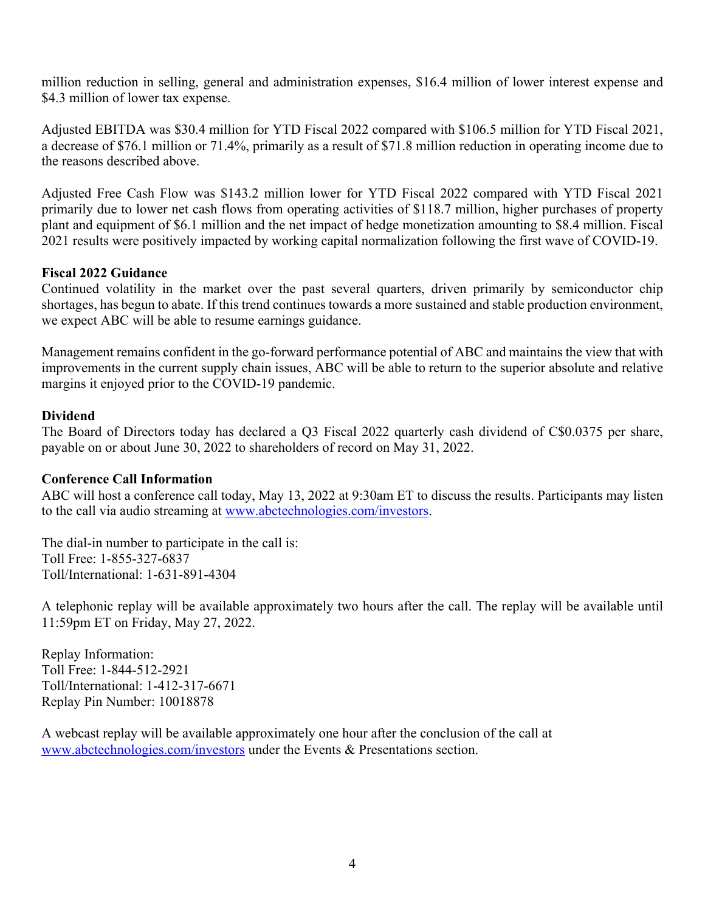million reduction in selling, general and administration expenses, \$16.4 million of lower interest expense and \$4.3 million of lower tax expense.

Adjusted EBITDA was \$30.4 million for YTD Fiscal 2022 compared with \$106.5 million for YTD Fiscal 2021, a decrease of \$76.1 million or 71.4%, primarily as a result of \$71.8 million reduction in operating income due to the reasons described above.

Adjusted Free Cash Flow was \$143.2 million lower for YTD Fiscal 2022 compared with YTD Fiscal 2021 primarily due to lower net cash flows from operating activities of \$118.7 million, higher purchases of property plant and equipment of \$6.1 million and the net impact of hedge monetization amounting to \$8.4 million. Fiscal 2021 results were positively impacted by working capital normalization following the first wave of COVID-19.

## **Fiscal 2022 Guidance**

Continued volatility in the market over the past several quarters, driven primarily by semiconductor chip shortages, has begun to abate. If this trend continues towards a more sustained and stable production environment, we expect ABC will be able to resume earnings guidance.

Management remains confident in the go-forward performance potential of ABC and maintains the view that with improvements in the current supply chain issues, ABC will be able to return to the superior absolute and relative margins it enjoyed prior to the COVID-19 pandemic.

## **Dividend**

The Board of Directors today has declared a Q3 Fiscal 2022 quarterly cash dividend of C\$0.0375 per share, payable on or about June 30, 2022 to shareholders of record on May 31, 2022.

## **Conference Call Information**

ABC will host a conference call today, May 13, 2022 at 9:30am ET to discuss the results. Participants may listen to the call via audio streaming at www.abctechnologies.com/investors.

The dial-in number to participate in the call is: Toll Free: 1-855-327-6837 Toll/International: 1-631-891-4304

A telephonic replay will be available approximately two hours after the call. The replay will be available until 11:59pm ET on Friday, May 27, 2022.

Replay Information: Toll Free: 1-844-512-2921 Toll/International: 1-412-317-6671 Replay Pin Number: 10018878

A webcast replay will be available approximately one hour after the conclusion of the call at www.abctechnologies.com/investors under the Events & Presentations section.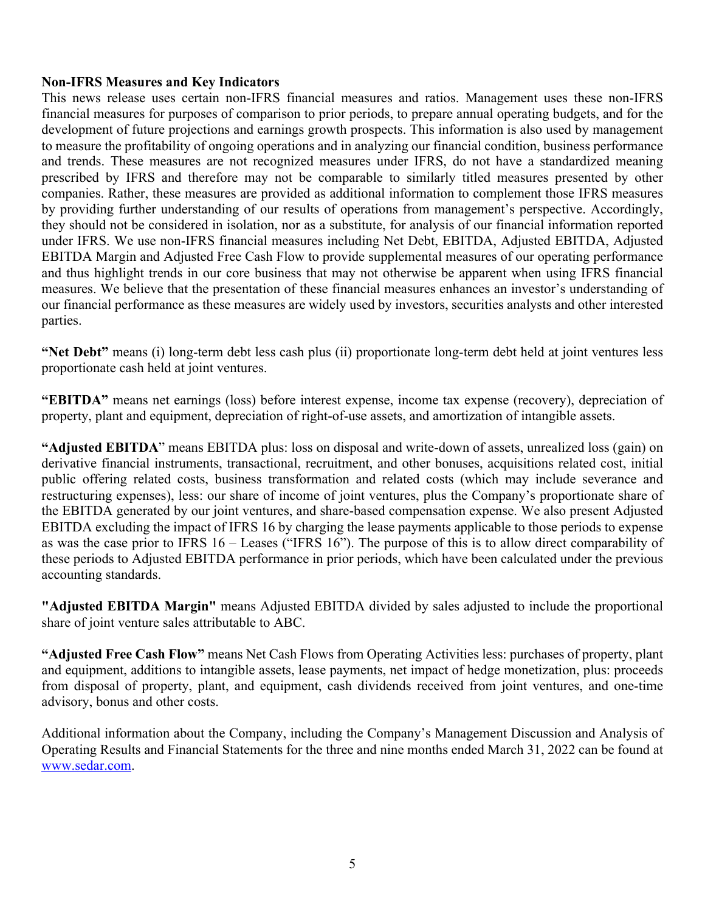#### **Non-IFRS Measures and Key Indicators**

This news release uses certain non-IFRS financial measures and ratios. Management uses these non-IFRS financial measures for purposes of comparison to prior periods, to prepare annual operating budgets, and for the development of future projections and earnings growth prospects. This information is also used by management to measure the profitability of ongoing operations and in analyzing our financial condition, business performance and trends. These measures are not recognized measures under IFRS, do not have a standardized meaning prescribed by IFRS and therefore may not be comparable to similarly titled measures presented by other companies. Rather, these measures are provided as additional information to complement those IFRS measures by providing further understanding of our results of operations from management's perspective. Accordingly, they should not be considered in isolation, nor as a substitute, for analysis of our financial information reported under IFRS. We use non-IFRS financial measures including Net Debt, EBITDA, Adjusted EBITDA, Adjusted EBITDA Margin and Adjusted Free Cash Flow to provide supplemental measures of our operating performance and thus highlight trends in our core business that may not otherwise be apparent when using IFRS financial measures. We believe that the presentation of these financial measures enhances an investor's understanding of our financial performance as these measures are widely used by investors, securities analysts and other interested parties.

**"Net Debt"** means (i) long-term debt less cash plus (ii) proportionate long-term debt held at joint ventures less proportionate cash held at joint ventures.

**"EBITDA"** means net earnings (loss) before interest expense, income tax expense (recovery), depreciation of property, plant and equipment, depreciation of right-of-use assets, and amortization of intangible assets.

**"Adjusted EBITDA**" means EBITDA plus: loss on disposal and write-down of assets, unrealized loss (gain) on derivative financial instruments, transactional, recruitment, and other bonuses, acquisitions related cost, initial public offering related costs, business transformation and related costs (which may include severance and restructuring expenses), less: our share of income of joint ventures, plus the Company's proportionate share of the EBITDA generated by our joint ventures, and share-based compensation expense. We also present Adjusted EBITDA excluding the impact of IFRS 16 by charging the lease payments applicable to those periods to expense as was the case prior to IFRS 16 – Leases ("IFRS 16"). The purpose of this is to allow direct comparability of these periods to Adjusted EBITDA performance in prior periods, which have been calculated under the previous accounting standards.

**"Adjusted EBITDA Margin"** means Adjusted EBITDA divided by sales adjusted to include the proportional share of joint venture sales attributable to ABC.

**"Adjusted Free Cash Flow"** means Net Cash Flows from Operating Activities less: purchases of property, plant and equipment, additions to intangible assets, lease payments, net impact of hedge monetization, plus: proceeds from disposal of property, plant, and equipment, cash dividends received from joint ventures, and one-time advisory, bonus and other costs.

Additional information about the Company, including the Company's Management Discussion and Analysis of Operating Results and Financial Statements for the three and nine months ended March 31, 2022 can be found at www.sedar.com.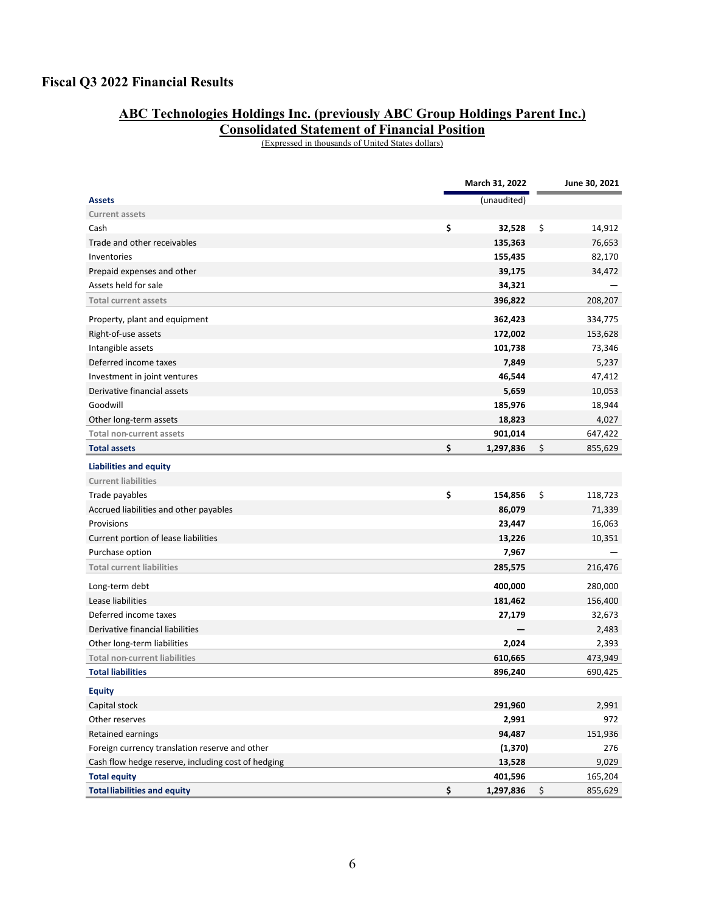# **Fiscal Q3 2022 Financial Results**

#### **ABC Technologies Holdings Inc. (previously ABC Group Holdings Parent Inc.)**

**Consolidated Statement of Financial Position** 

(Expressed in thousands of United States dollars)

|                                                    | March 31, 2022  | June 30, 2021 |
|----------------------------------------------------|-----------------|---------------|
| <b>Assets</b>                                      | (unaudited)     |               |
| <b>Current assets</b>                              |                 |               |
| Cash                                               | \$<br>32,528    | \$<br>14,912  |
| Trade and other receivables                        | 135,363         | 76,653        |
| Inventories                                        | 155,435         | 82,170        |
| Prepaid expenses and other                         | 39,175          | 34,472        |
| Assets held for sale                               | 34,321          |               |
| <b>Total current assets</b>                        | 396,822         | 208,207       |
| Property, plant and equipment                      | 362,423         | 334,775       |
| Right-of-use assets                                | 172,002         | 153,628       |
| Intangible assets                                  | 101,738         | 73,346        |
| Deferred income taxes                              | 7,849           | 5,237         |
| Investment in joint ventures                       | 46,544          | 47,412        |
| Derivative financial assets                        | 5,659           | 10,053        |
| Goodwill                                           | 185,976         | 18,944        |
| Other long-term assets                             | 18,823          | 4,027         |
| Total non-current assets                           | 901,014         | 647,422       |
| <b>Total assets</b>                                | \$<br>1,297,836 | \$<br>855,629 |
| <b>Liabilities and equity</b>                      |                 |               |
| <b>Current liabilities</b>                         |                 |               |
| Trade payables                                     | \$<br>154,856   | \$<br>118,723 |
| Accrued liabilities and other payables             | 86,079          | 71,339        |
| Provisions                                         | 23,447          | 16,063        |
| Current portion of lease liabilities               | 13,226          | 10,351        |
| Purchase option                                    | 7,967           |               |
| <b>Total current liabilities</b>                   | 285,575         | 216,476       |
| Long-term debt                                     | 400,000         | 280,000       |
| Lease liabilities                                  | 181,462         | 156,400       |
| Deferred income taxes                              | 27,179          | 32,673        |
| Derivative financial liabilities                   |                 | 2,483         |
| Other long-term liabilities                        | 2,024           | 2,393         |
| <b>Total non-current liabilities</b>               | 610,665         | 473,949       |
| <b>Total liabilities</b>                           | 896,240         | 690,425       |
| <b>Equity</b>                                      |                 |               |
| Capital stock                                      | 291,960         | 2,991         |
| Other reserves                                     | 2,991           | 972           |
| Retained earnings                                  | 94,487          | 151,936       |
| Foreign currency translation reserve and other     | (1, 370)        | 276           |
| Cash flow hedge reserve, including cost of hedging | 13,528          | 9,029         |
| <b>Total equity</b>                                | 401,596         | 165,204       |
| <b>Total liabilities and equity</b>                | \$<br>1,297,836 | \$<br>855,629 |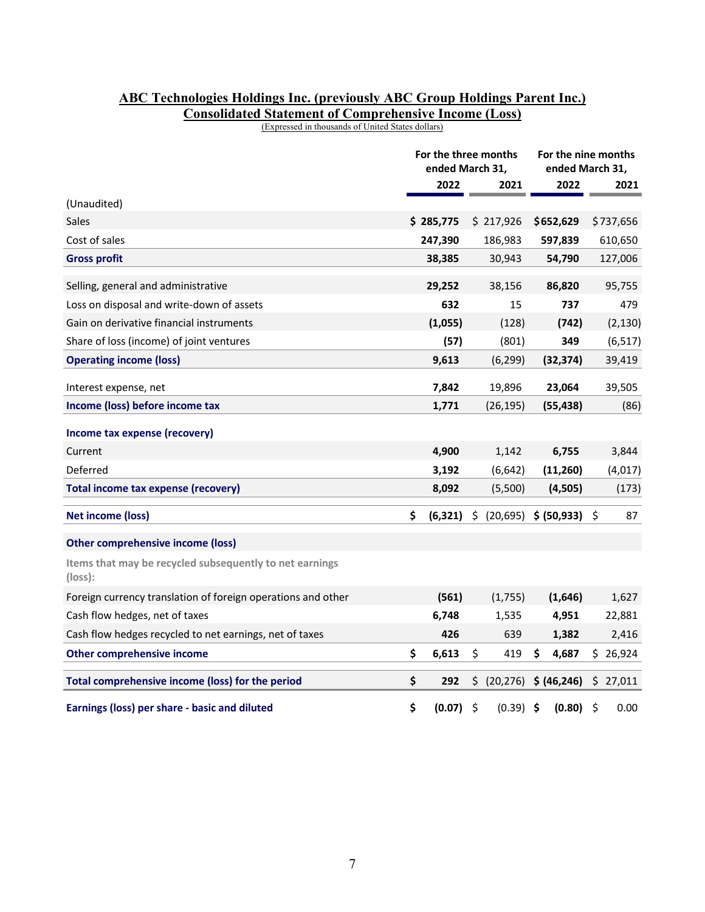#### **ABC Technologies Holdings Inc. (previously ABC Group Holdings Parent Inc.) Consolidated Statement of Comprehensive Income (Loss)**

(Expressed in thousands of United States dollars)

|                                                                    | For the three months<br>ended March 31, |           |    |              | For the nine months<br>ended March 31, |              |    |           |  |
|--------------------------------------------------------------------|-----------------------------------------|-----------|----|--------------|----------------------------------------|--------------|----|-----------|--|
|                                                                    |                                         | 2022      |    | 2021         |                                        | 2022         |    | 2021      |  |
| (Unaudited)                                                        |                                         |           |    |              |                                        |              |    |           |  |
| <b>Sales</b>                                                       |                                         | \$285,775 |    | \$217,926    |                                        | \$652,629    |    | \$737,656 |  |
| Cost of sales                                                      |                                         | 247,390   |    | 186,983      |                                        | 597,839      |    | 610,650   |  |
| <b>Gross profit</b>                                                |                                         | 38,385    |    | 30,943       |                                        | 54,790       |    | 127,006   |  |
| Selling, general and administrative                                |                                         | 29,252    |    | 38,156       |                                        | 86,820       |    | 95,755    |  |
| Loss on disposal and write-down of assets                          |                                         | 632       |    | 15           |                                        | 737          |    | 479       |  |
| Gain on derivative financial instruments                           |                                         | (1,055)   |    | (128)        |                                        | (742)        |    | (2, 130)  |  |
| Share of loss (income) of joint ventures                           |                                         | (57)      |    | (801)        |                                        | 349          |    | (6, 517)  |  |
| <b>Operating income (loss)</b>                                     |                                         | 9,613     |    | (6, 299)     |                                        | (32, 374)    |    | 39,419    |  |
| Interest expense, net                                              |                                         | 7,842     |    | 19,896       |                                        | 23,064       |    | 39,505    |  |
| Income (loss) before income tax                                    |                                         | 1,771     |    | (26, 195)    |                                        | (55, 438)    |    | (86)      |  |
| Income tax expense (recovery)                                      |                                         |           |    |              |                                        |              |    |           |  |
| Current                                                            |                                         | 4,900     |    | 1,142        |                                        | 6,755        |    | 3,844     |  |
| Deferred                                                           |                                         | 3,192     |    | (6, 642)     |                                        | (11, 260)    |    | (4,017)   |  |
| Total income tax expense (recovery)                                |                                         | 8,092     |    | (5,500)      |                                        | (4,505)      |    | (173)     |  |
| <b>Net income (loss)</b>                                           | \$                                      | (6, 321)  | \$ | (20, 695)    |                                        | \$ (50, 933) | S  | 87        |  |
| <b>Other comprehensive income (loss)</b>                           |                                         |           |    |              |                                        |              |    |           |  |
| Items that may be recycled subsequently to net earnings<br>(loss): |                                         |           |    |              |                                        |              |    |           |  |
| Foreign currency translation of foreign operations and other       |                                         | (561)     |    | (1,755)      |                                        | (1,646)      |    | 1,627     |  |
| Cash flow hedges, net of taxes                                     |                                         | 6,748     |    | 1,535        |                                        | 4,951        |    | 22,881    |  |
| Cash flow hedges recycled to net earnings, net of taxes            |                                         | 426       |    | 639          |                                        | 1,382        |    | 2,416     |  |
| <b>Other comprehensive income</b>                                  | \$                                      | 6,613     | \$ | 419          | \$                                     | 4,687        |    | \$26,924  |  |
| Total comprehensive income (loss) for the period                   | \$                                      | 292       |    | \$ (20, 276) |                                        | \$ (46, 246) |    | \$27,011  |  |
| Earnings (loss) per share - basic and diluted                      | \$                                      | (0.07)    | \$ | $(0.39)$ \$  |                                        | (0.80)       | \$ | 0.00      |  |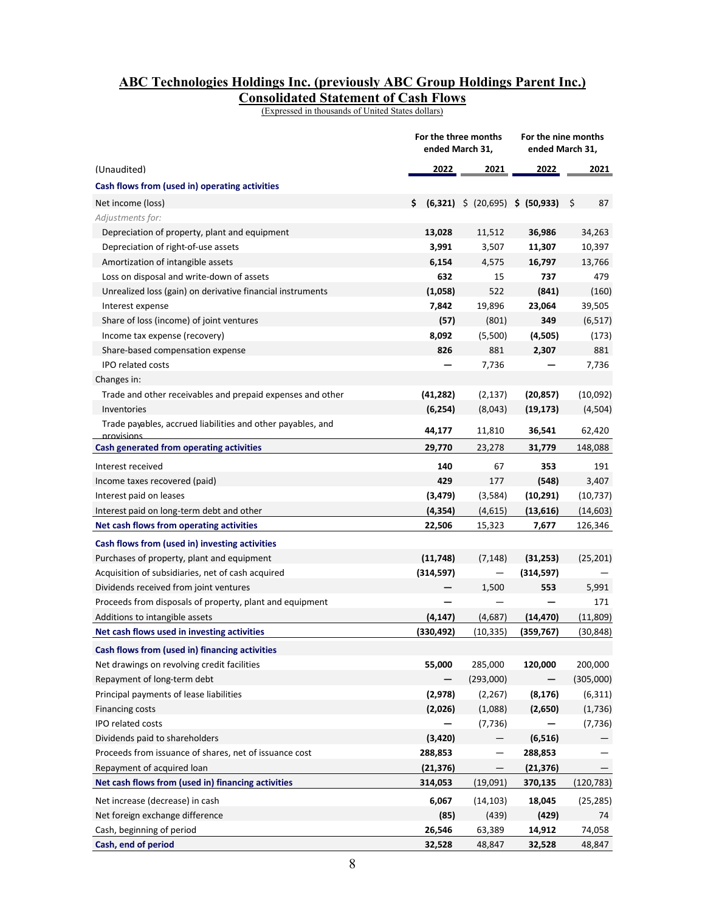## **ABC Technologies Holdings Inc. (previously ABC Group Holdings Parent Inc.) Consolidated Statement of Cash Flows**

(Expressed in thousands of United States dollars)

|                                                                                       |                    | For the three months<br>ended March 31, | For the nine months<br>ended March 31, |                      |  |  |  |  |
|---------------------------------------------------------------------------------------|--------------------|-----------------------------------------|----------------------------------------|----------------------|--|--|--|--|
| (Unaudited)                                                                           | <u> 2022 </u>      | 2021                                    | <u> 2022 </u>                          | 2021                 |  |  |  |  |
| Cash flows from (used in) operating activities                                        |                    |                                         |                                        |                      |  |  |  |  |
| Net income (loss)                                                                     | \$.                | $(6,321)$ \$ $(20,695)$ \$ $(50,933)$   |                                        | - \$<br>87           |  |  |  |  |
| Adjustments for:                                                                      |                    |                                         |                                        |                      |  |  |  |  |
| Depreciation of property, plant and equipment                                         | 13,028             | 11,512                                  | 36,986                                 | 34,263               |  |  |  |  |
| Depreciation of right-of-use assets                                                   | 3,991              | 3,507                                   | 11,307                                 | 10,397               |  |  |  |  |
| Amortization of intangible assets                                                     | 6,154              | 4,575                                   | 16,797                                 | 13,766               |  |  |  |  |
| Loss on disposal and write-down of assets                                             | 632                | 15                                      | 737                                    | 479                  |  |  |  |  |
| Unrealized loss (gain) on derivative financial instruments                            | (1,058)            | 522                                     | (841)                                  | (160)                |  |  |  |  |
| Interest expense                                                                      | 7,842              | 19,896                                  | 23,064                                 | 39,505               |  |  |  |  |
| Share of loss (income) of joint ventures                                              | (57)               | (801)                                   | 349                                    | (6, 517)             |  |  |  |  |
| Income tax expense (recovery)                                                         | 8,092              | (5,500)                                 | (4,505)                                | (173)                |  |  |  |  |
| Share-based compensation expense                                                      | 826                | 881                                     | 2,307                                  | 881                  |  |  |  |  |
| <b>IPO related costs</b>                                                              |                    | 7,736                                   |                                        | 7,736                |  |  |  |  |
| Changes in:                                                                           |                    |                                         |                                        |                      |  |  |  |  |
| Trade and other receivables and prepaid expenses and other                            | (41, 282)          | (2, 137)                                | (20, 857)                              | (10,092)             |  |  |  |  |
| Inventories                                                                           | (6, 254)           | (8,043)                                 | (19, 173)                              | (4,504)              |  |  |  |  |
| Trade payables, accrued liabilities and other payables, and<br>nrovisions             | 44,177             | 11,810                                  | 36,541                                 | 62,420               |  |  |  |  |
| Cash generated from operating activities                                              | 29,770             | 23,278                                  | 31,779                                 | 148,088              |  |  |  |  |
| Interest received                                                                     | 140                | 67                                      | 353                                    | 191                  |  |  |  |  |
|                                                                                       | 429                | 177                                     |                                        |                      |  |  |  |  |
| Income taxes recovered (paid)                                                         |                    |                                         | (548)                                  | 3,407                |  |  |  |  |
| Interest paid on leases                                                               | (3, 479)           | (3,584)                                 | (10, 291)                              | (10, 737)            |  |  |  |  |
| Interest paid on long-term debt and other<br>Net cash flows from operating activities | (4, 354)<br>22,506 | (4,615)                                 | (13,616)<br>7,677                      | (14, 603)<br>126,346 |  |  |  |  |
|                                                                                       |                    | 15,323                                  |                                        |                      |  |  |  |  |
| Cash flows from (used in) investing activities                                        |                    |                                         |                                        |                      |  |  |  |  |
| Purchases of property, plant and equipment                                            | (11, 748)          | (7, 148)                                | (31, 253)                              | (25, 201)            |  |  |  |  |
| Acquisition of subsidiaries, net of cash acquired                                     | (314, 597)         | —                                       | (314, 597)                             |                      |  |  |  |  |
| Dividends received from joint ventures                                                |                    | 1,500                                   | 553                                    | 5,991                |  |  |  |  |
| Proceeds from disposals of property, plant and equipment                              |                    |                                         |                                        | 171                  |  |  |  |  |
| Additions to intangible assets                                                        | (4, 147)           | (4,687)                                 | (14, 470)                              | (11,809)             |  |  |  |  |
| Net cash flows used in investing activities                                           | (330, 492)         | (10,335)                                | (359, 767)                             | (30, 848)            |  |  |  |  |
| Cash flows from (used in) financing activities                                        |                    |                                         |                                        |                      |  |  |  |  |
| Net drawings on revolving credit facilities                                           | 55,000             | 285,000                                 | 120,000                                | 200,000              |  |  |  |  |
| Repayment of long-term debt                                                           |                    | (293,000)                               |                                        | (305,000)            |  |  |  |  |
| Principal payments of lease liabilities                                               | (2,978)            | (2, 267)                                | (8, 176)                               | (6, 311)             |  |  |  |  |
| Financing costs                                                                       | (2,026)            | (1,088)                                 | (2,650)                                | (1,736)              |  |  |  |  |
| IPO related costs                                                                     |                    | (7, 736)                                |                                        | (7, 736)             |  |  |  |  |
| Dividends paid to shareholders                                                        | (3, 420)           |                                         | (6, 516)                               |                      |  |  |  |  |
| Proceeds from issuance of shares, net of issuance cost                                | 288,853            | $\qquad \qquad -$                       | 288,853                                |                      |  |  |  |  |
| Repayment of acquired loan                                                            | (21, 376)          |                                         | (21, 376)                              |                      |  |  |  |  |
| Net cash flows from (used in) financing activities                                    | 314,053            | (19,091)                                | 370,135                                | (120, 783)           |  |  |  |  |
| Net increase (decrease) in cash                                                       | 6,067              | (14, 103)                               | 18,045                                 | (25, 285)            |  |  |  |  |
| Net foreign exchange difference                                                       | (85)               | (439)                                   | (429)                                  | 74                   |  |  |  |  |
| Cash, beginning of period                                                             | 26,546             | 63,389                                  | 14,912                                 | 74,058               |  |  |  |  |
| Cash, end of period                                                                   | 32,528             | 48,847                                  | 32,528                                 | 48,847               |  |  |  |  |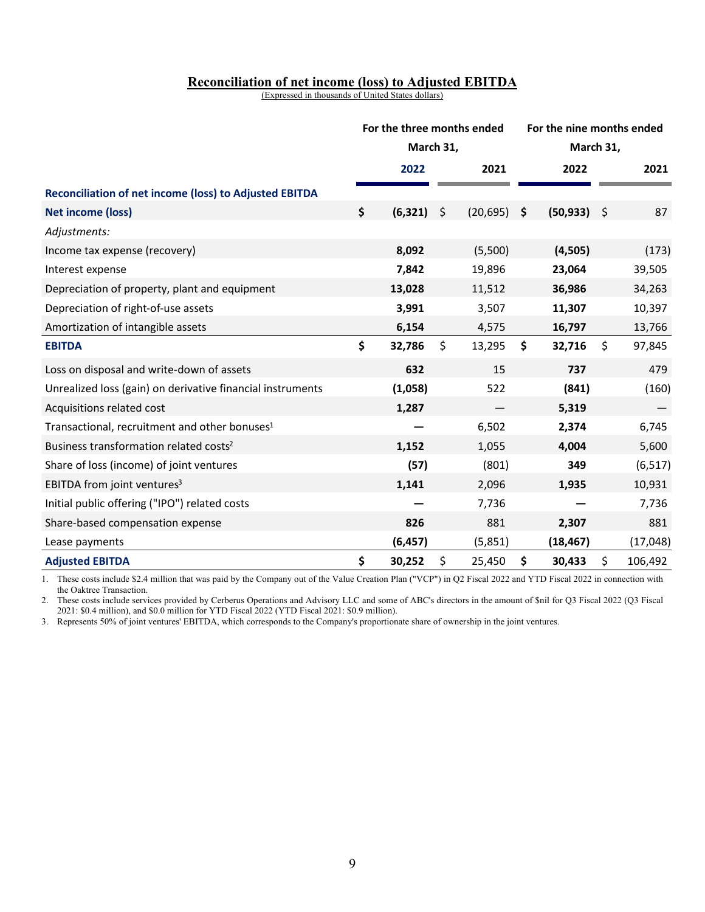## **Reconciliation of net income (loss) to Adjusted EBITDA**

(Expressed in thousands of United States dollars)

|                                                               | For the three months ended<br>March 31, |          |    |           | For the nine months ended |           |     |           |  |  |  |
|---------------------------------------------------------------|-----------------------------------------|----------|----|-----------|---------------------------|-----------|-----|-----------|--|--|--|
|                                                               |                                         |          |    |           |                           | March 31, |     |           |  |  |  |
|                                                               |                                         | 2022     |    | 2021      |                           | 2022      |     | 2021      |  |  |  |
| <b>Reconciliation of net income (loss) to Adjusted EBITDA</b> |                                         |          |    |           |                           |           |     |           |  |  |  |
| <b>Net income (loss)</b>                                      | \$                                      | (6, 321) | \$ | (20, 695) | \$                        | (50, 933) | -\$ | 87        |  |  |  |
| Adjustments:                                                  |                                         |          |    |           |                           |           |     |           |  |  |  |
| Income tax expense (recovery)                                 |                                         | 8,092    |    | (5,500)   |                           | (4,505)   |     | (173)     |  |  |  |
| Interest expense                                              |                                         | 7,842    |    | 19,896    |                           | 23,064    |     | 39,505    |  |  |  |
| Depreciation of property, plant and equipment                 |                                         | 13,028   |    | 11,512    |                           | 36,986    |     | 34,263    |  |  |  |
| Depreciation of right-of-use assets                           |                                         | 3,991    |    | 3,507     |                           | 11,307    |     | 10,397    |  |  |  |
| Amortization of intangible assets                             |                                         | 6,154    |    | 4,575     |                           | 16,797    |     | 13,766    |  |  |  |
| <b>EBITDA</b>                                                 | \$                                      | 32,786   | \$ | 13,295    | \$                        | 32,716    | \$  | 97,845    |  |  |  |
| Loss on disposal and write-down of assets                     |                                         | 632      |    | 15        |                           | 737       |     | 479       |  |  |  |
| Unrealized loss (gain) on derivative financial instruments    |                                         | (1,058)  |    | 522       |                           | (841)     |     | (160)     |  |  |  |
| Acquisitions related cost                                     |                                         | 1,287    |    |           |                           | 5,319     |     |           |  |  |  |
| Transactional, recruitment and other bonuses <sup>1</sup>     |                                         |          |    | 6,502     |                           | 2,374     |     | 6,745     |  |  |  |
| Business transformation related costs <sup>2</sup>            |                                         | 1,152    |    | 1,055     |                           | 4,004     |     | 5,600     |  |  |  |
| Share of loss (income) of joint ventures                      |                                         | (57)     |    | (801)     |                           | 349       |     | (6, 517)  |  |  |  |
| EBITDA from joint ventures <sup>3</sup>                       |                                         | 1,141    |    | 2,096     |                           | 1,935     |     | 10,931    |  |  |  |
| Initial public offering ("IPO") related costs                 |                                         |          |    | 7,736     |                           |           |     | 7,736     |  |  |  |
| Share-based compensation expense                              |                                         | 826      |    | 881       |                           | 2,307     |     | 881       |  |  |  |
| Lease payments                                                |                                         | (6, 457) |    | (5,851)   |                           | (18, 467) |     | (17, 048) |  |  |  |
| <b>Adjusted EBITDA</b>                                        | \$                                      | 30,252   | \$ | 25,450    | \$                        | 30,433    | \$  | 106,492   |  |  |  |

1. These costs include \$2.4 million that was paid by the Company out of the Value Creation Plan ("VCP") in Q2 Fiscal 2022 and YTD Fiscal 2022 in connection with the Oaktree Transaction.

2. These costs include services provided by Cerberus Operations and Advisory LLC and some of ABC's directors in the amount of \$nil for Q3 Fiscal 2022 (Q3 Fiscal 2021: \$0.4 million), and \$0.0 million for YTD Fiscal 2022 (YTD Fiscal 2021: \$0.9 million).

3. Represents 50% of joint ventures' EBITDA, which corresponds to the Company's proportionate share of ownership in the joint ventures.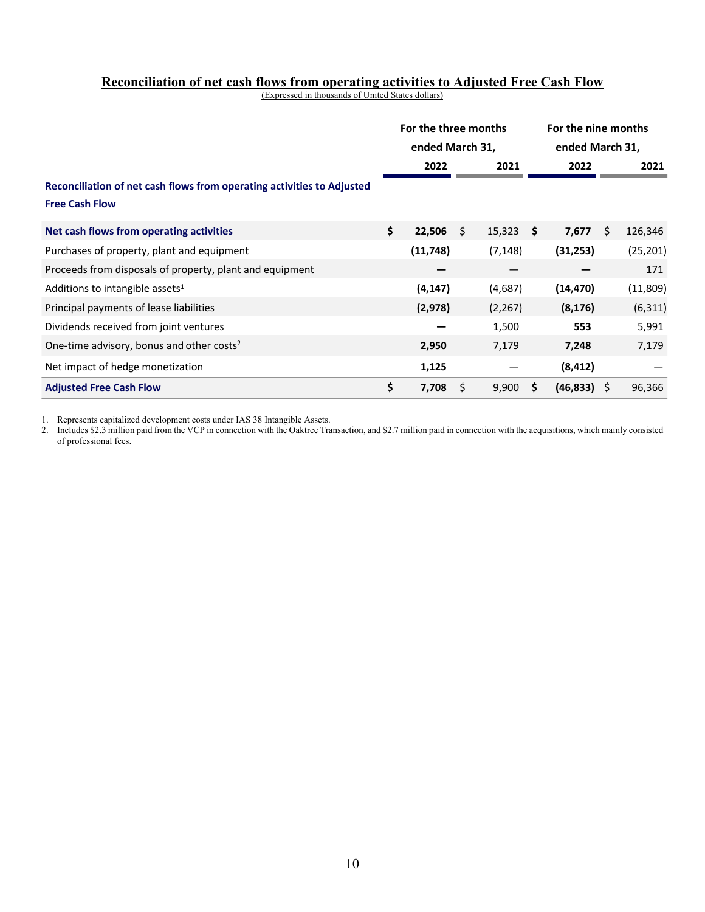#### **Reconciliation of net cash flows from operating activities to Adjusted Free Cash Flow**

(Expressed in thousands of United States dollars)

|                                                                                                 | For the three months<br>ended March 31, |           |      |             |    | For the nine months<br>ended March 31, |    |           |
|-------------------------------------------------------------------------------------------------|-----------------------------------------|-----------|------|-------------|----|----------------------------------------|----|-----------|
|                                                                                                 |                                         | 2022      |      | 2021        |    | 2022                                   |    | 2021      |
| Reconciliation of net cash flows from operating activities to Adjusted<br><b>Free Cash Flow</b> |                                         |           |      |             |    |                                        |    |           |
| Net cash flows from operating activities                                                        | \$                                      | 22,506    | - \$ | $15,323$ \$ |    | 7,677                                  | Ŝ. | 126,346   |
| Purchases of property, plant and equipment                                                      |                                         | (11, 748) |      | (7, 148)    |    | (31, 253)                              |    | (25, 201) |
| Proceeds from disposals of property, plant and equipment                                        |                                         |           |      |             |    |                                        |    | 171       |
| Additions to intangible assets <sup>1</sup>                                                     |                                         | (4, 147)  |      | (4,687)     |    | (14, 470)                              |    | (11,809)  |
| Principal payments of lease liabilities                                                         |                                         | (2,978)   |      | (2, 267)    |    | (8, 176)                               |    | (6, 311)  |
| Dividends received from joint ventures                                                          |                                         |           |      | 1,500       |    | 553                                    |    | 5,991     |
| One-time advisory, bonus and other costs <sup>2</sup>                                           |                                         | 2,950     |      | 7,179       |    | 7,248                                  |    | 7,179     |
| Net impact of hedge monetization                                                                |                                         | 1,125     |      |             |    | (8, 412)                               |    |           |
| <b>Adjusted Free Cash Flow</b>                                                                  | \$                                      | 7,708     | \$   | 9,900       | -S | $(46,833)$ \$                          |    | 96,366    |

1. Represents capitalized development costs under IAS 38 Intangible Assets.

2. Includes \$2.3 million paid from the VCP in connection with the Oaktree Transaction, and \$2.7 million paid in connection with the acquisitions, which mainly consisted of professional fees.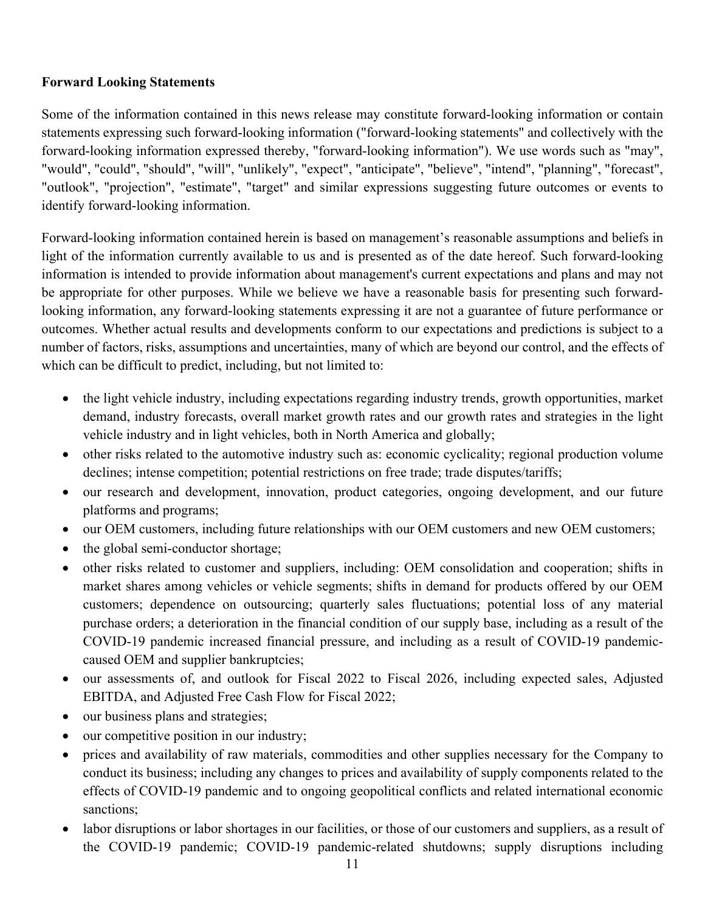## **Forward Looking Statements**

Some of the information contained in this news release may constitute forward-looking information or contain statements expressing such forward-looking information ("forward-looking statements" and collectively with the forward-looking information expressed thereby, "forward-looking information"). We use words such as "may", "would", "could", "should", "will", "unlikely", "expect", "anticipate", "believe", "intend", "planning", "forecast", "outlook", "projection", "estimate", "target" and similar expressions suggesting future outcomes or events to identify forward-looking information.

Forward-looking information contained herein is based on management's reasonable assumptions and beliefs in light of the information currently available to us and is presented as of the date hereof. Such forward-looking information is intended to provide information about management's current expectations and plans and may not be appropriate for other purposes. While we believe we have a reasonable basis for presenting such forwardlooking information, any forward-looking statements expressing it are not a guarantee of future performance or outcomes. Whether actual results and developments conform to our expectations and predictions is subject to a number of factors, risks, assumptions and uncertainties, many of which are beyond our control, and the effects of which can be difficult to predict, including, but not limited to:

- the light vehicle industry, including expectations regarding industry trends, growth opportunities, market demand, industry forecasts, overall market growth rates and our growth rates and strategies in the light vehicle industry and in light vehicles, both in North America and globally;
- other risks related to the automotive industry such as: economic cyclicality; regional production volume declines; intense competition; potential restrictions on free trade; trade disputes/tariffs;
- our research and development, innovation, product categories, ongoing development, and our future platforms and programs;
- our OEM customers, including future relationships with our OEM customers and new OEM customers;
- the global semi-conductor shortage;
- other risks related to customer and suppliers, including: OEM consolidation and cooperation; shifts in market shares among vehicles or vehicle segments; shifts in demand for products offered by our OEM customers; dependence on outsourcing; quarterly sales fluctuations; potential loss of any material purchase orders; a deterioration in the financial condition of our supply base, including as a result of the COVID-19 pandemic increased financial pressure, and including as a result of COVID-19 pandemiccaused OEM and supplier bankruptcies;
- our assessments of, and outlook for Fiscal 2022 to Fiscal 2026, including expected sales, Adjusted EBITDA, and Adjusted Free Cash Flow for Fiscal 2022;
- our business plans and strategies;
- our competitive position in our industry;
- prices and availability of raw materials, commodities and other supplies necessary for the Company to conduct its business; including any changes to prices and availability of supply components related to the effects of COVID-19 pandemic and to ongoing geopolitical conflicts and related international economic sanctions;
- labor disruptions or labor shortages in our facilities, or those of our customers and suppliers, as a result of the COVID-19 pandemic; COVID-19 pandemic-related shutdowns; supply disruptions including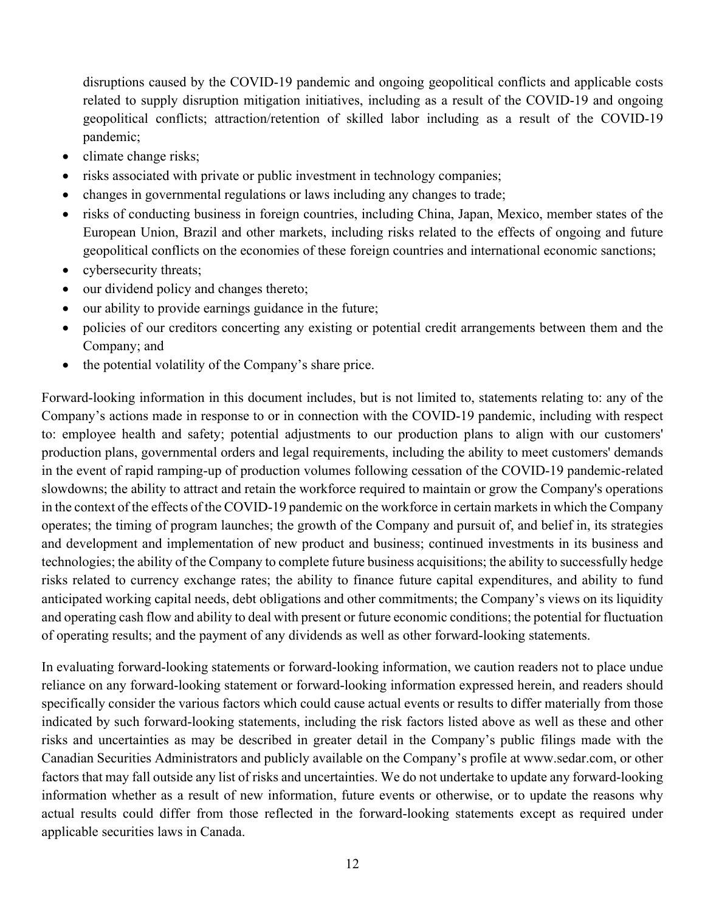disruptions caused by the COVID-19 pandemic and ongoing geopolitical conflicts and applicable costs related to supply disruption mitigation initiatives, including as a result of the COVID-19 and ongoing geopolitical conflicts; attraction/retention of skilled labor including as a result of the COVID-19 pandemic;

- climate change risks;
- risks associated with private or public investment in technology companies;
- changes in governmental regulations or laws including any changes to trade;
- risks of conducting business in foreign countries, including China, Japan, Mexico, member states of the European Union, Brazil and other markets, including risks related to the effects of ongoing and future geopolitical conflicts on the economies of these foreign countries and international economic sanctions;
- cybersecurity threats;
- our dividend policy and changes thereto;
- our ability to provide earnings guidance in the future;
- policies of our creditors concerting any existing or potential credit arrangements between them and the Company; and
- the potential volatility of the Company's share price.

Forward-looking information in this document includes, but is not limited to, statements relating to: any of the Company's actions made in response to or in connection with the COVID-19 pandemic, including with respect to: employee health and safety; potential adjustments to our production plans to align with our customers' production plans, governmental orders and legal requirements, including the ability to meet customers' demands in the event of rapid ramping-up of production volumes following cessation of the COVID-19 pandemic-related slowdowns; the ability to attract and retain the workforce required to maintain or grow the Company's operations in the context of the effects of the COVID-19 pandemic on the workforce in certain markets in which the Company operates; the timing of program launches; the growth of the Company and pursuit of, and belief in, its strategies and development and implementation of new product and business; continued investments in its business and technologies; the ability of the Company to complete future business acquisitions; the ability to successfully hedge risks related to currency exchange rates; the ability to finance future capital expenditures, and ability to fund anticipated working capital needs, debt obligations and other commitments; the Company's views on its liquidity and operating cash flow and ability to deal with present or future economic conditions; the potential for fluctuation of operating results; and the payment of any dividends as well as other forward-looking statements.

In evaluating forward-looking statements or forward-looking information, we caution readers not to place undue reliance on any forward-looking statement or forward-looking information expressed herein, and readers should specifically consider the various factors which could cause actual events or results to differ materially from those indicated by such forward-looking statements, including the risk factors listed above as well as these and other risks and uncertainties as may be described in greater detail in the Company's public filings made with the Canadian Securities Administrators and publicly available on the Company's profile at www.sedar.com, or other factors that may fall outside any list of risks and uncertainties. We do not undertake to update any forward-looking information whether as a result of new information, future events or otherwise, or to update the reasons why actual results could differ from those reflected in the forward-looking statements except as required under applicable securities laws in Canada.